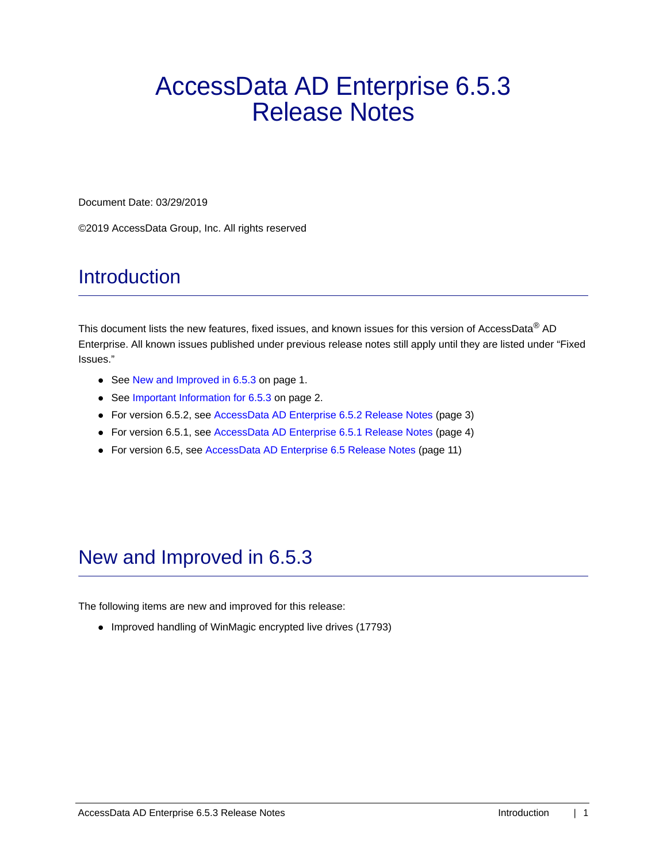# AccessData AD Enterprise 6.5.3 Release Notes

Document Date: 03/29/2019

©2019 AccessData Group, Inc. All rights reserved

## **Introduction**

This document lists the new features, fixed issues, and known issues for this version of AccessData® AD Enterprise. All known issues published under previous release notes still apply until they are listed under "Fixed Issues."

- See New and Improved in 6.5.3 on page 1.
- See Important Information for 6.5.3 on page 2.
- For version 6.5.2, see AccessData AD Enterprise 6.5.2 Release Notes (page 3)
- For version 6.5.1, see AccessData AD Enterprise 6.5.1 Release Notes (page 4)
- For version 6.5, see AccessData AD Enterprise 6.5 Release Notes (page 11)

## New and Improved in 6.5.3

The following items are new and improved for this release:

• Improved handling of WinMagic encrypted live drives (17793)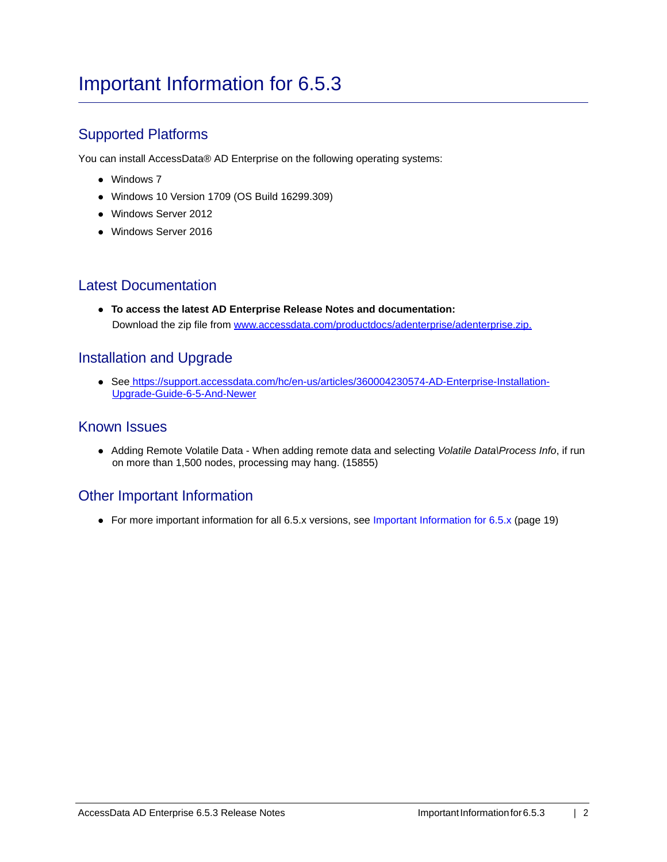## Important Information for 6.5.3

### Supported Platforms

You can install AccessData® AD Enterprise on the following operating systems:

- Windows 7
- Windows 10 Version 1709 (OS Build 16299.309)
- Windows Server 2012
- Windows Server 2016

#### Latest Documentation

**To access the latest AD Enterprise Release Notes and documentation:** Download the zip file from www.accessdata.com/productdocs/adenterprise/adenterprise.zip.

### Installation and Upgrade

See https://support.accessdata.com/hc/en-us/articles/360004230574-AD-Enterprise-Installation-Upgrade-Guide-6-5-And-Newer

#### Known Issues

Adding Remote Volatile Data - When adding remote data and selecting *Volatile Data\Process Info*, if run on more than 1,500 nodes, processing may hang. (15855)

### Other Important Information

• For more important information for all 6.5.x versions, see Important Information for 6.5.x (page 19)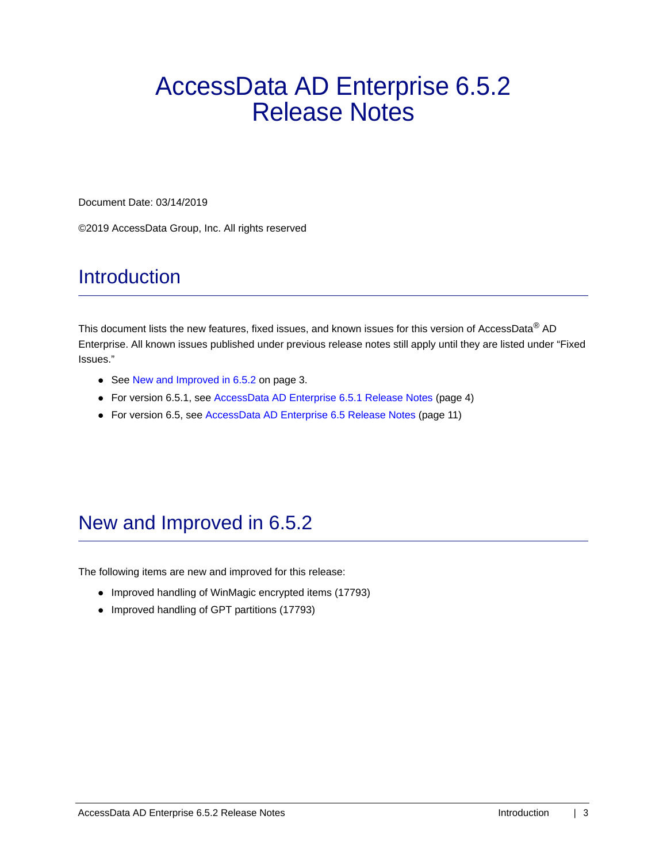# AccessData AD Enterprise 6.5.2 Release Notes

Document Date: 03/14/2019

©2019 AccessData Group, Inc. All rights reserved

## **Introduction**

This document lists the new features, fixed issues, and known issues for this version of AccessData® AD Enterprise. All known issues published under previous release notes still apply until they are listed under "Fixed Issues."

- See New and Improved in 6.5.2 on page 3.
- For version 6.5.1, see AccessData AD Enterprise 6.5.1 Release Notes (page 4)
- For version 6.5, see AccessData AD Enterprise 6.5 Release Notes (page 11)

## New and Improved in 6.5.2

The following items are new and improved for this release:

- Improved handling of WinMagic encrypted items (17793)
- Improved handling of GPT partitions (17793)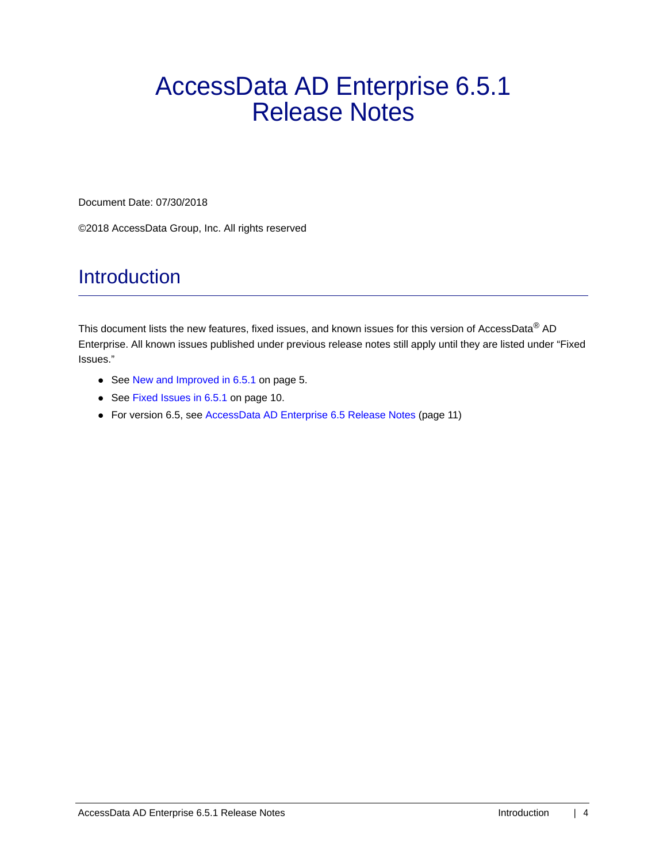# AccessData AD Enterprise 6.5.1 Release Notes

Document Date: 07/30/2018

©2018 AccessData Group, Inc. All rights reserved

## **Introduction**

This document lists the new features, fixed issues, and known issues for this version of AccessData<sup>®</sup> AD Enterprise. All known issues published under previous release notes still apply until they are listed under "Fixed Issues."

- See New and Improved in 6.5.1 on page 5.
- See Fixed Issues in 6.5.1 on page 10.
- For version 6.5, see AccessData AD Enterprise 6.5 Release Notes (page 11)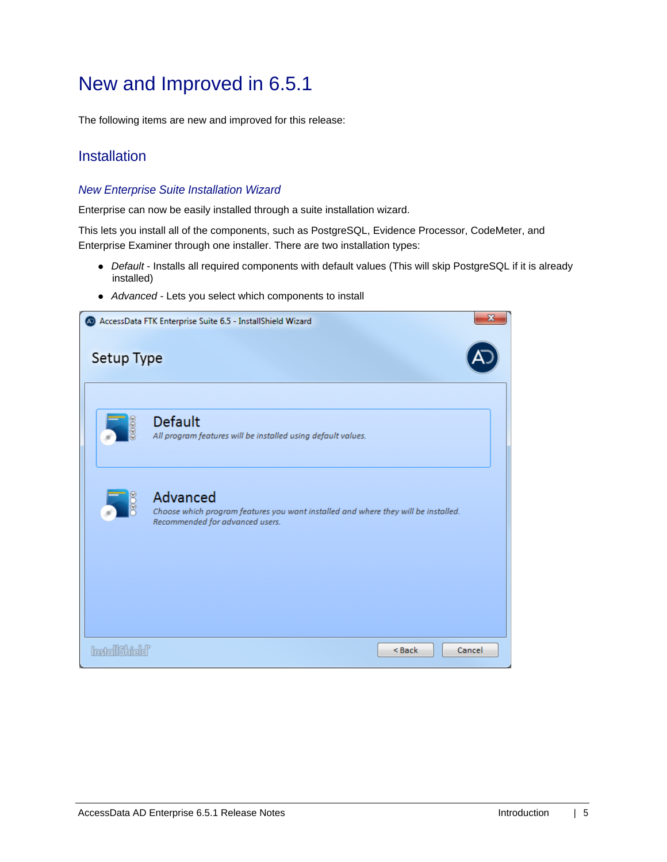## New and Improved in 6.5.1

The following items are new and improved for this release:

### Installation

#### *New Enterprise Suite Installation Wizard*

Enterprise can now be easily installed through a suite installation wizard.

This lets you install all of the components, such as PostgreSQL, Evidence Processor, CodeMeter, and Enterprise Examiner through one installer. There are two installation types:

- *Default* Installs all required components with default values (This will skip PostgreSQL if it is already installed)
- *Advanced* Lets you select which components to install

|            | X<br>AccessData FTK Enterprise Suite 6.5 - InstallShield Wizard                                                                   |
|------------|-----------------------------------------------------------------------------------------------------------------------------------|
| Setup Type |                                                                                                                                   |
|            | Default<br>All program features will be installed using default values.                                                           |
|            | Advanced<br>Choose which program features you want installed and where they will be installed.<br>Recommended for advanced users. |
| Instal     | <back<br>Cancel</back<br>                                                                                                         |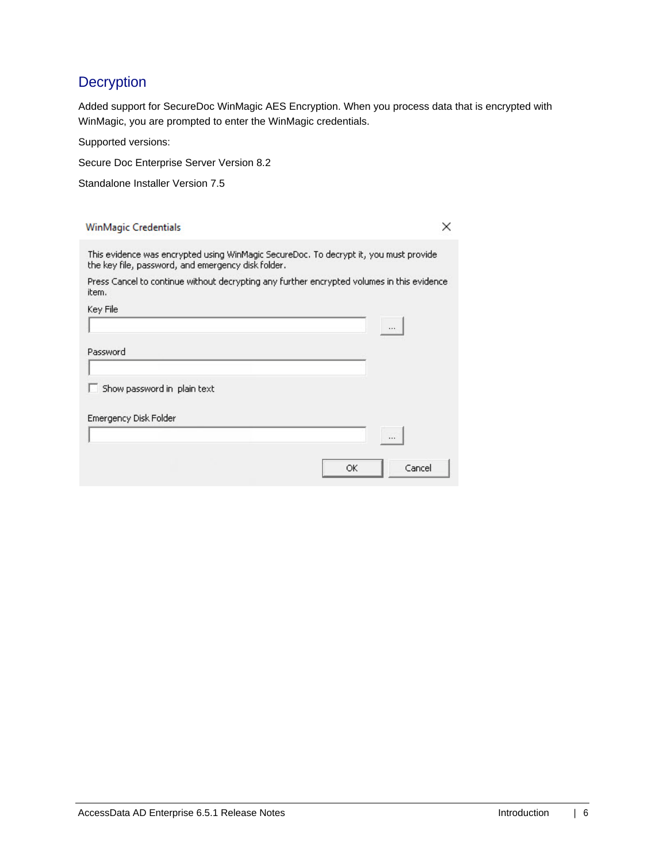### **Decryption**

Added support for SecureDoc WinMagic AES Encryption. When you process data that is encrypted with WinMagic, you are prompted to enter the WinMagic credentials.

Supported versions:

Secure Doc Enterprise Server Version 8.2

Standalone Installer Version 7.5

| <b>WinMagic Credentials</b>                                                                                                                  |        |
|----------------------------------------------------------------------------------------------------------------------------------------------|--------|
| This evidence was encrypted using WinMagic SecureDoc. To decrypt it, you must provide.<br>the key file, password, and emergency disk folder. |        |
| Press Cancel to continue without decrypting any further encrypted volumes in this evidence<br>item.                                          |        |
| Key File                                                                                                                                     |        |
|                                                                                                                                              |        |
| Password                                                                                                                                     |        |
| Show password in plain text                                                                                                                  |        |
| Emergency Disk Folder                                                                                                                        |        |
|                                                                                                                                              |        |
| ОК                                                                                                                                           | Cancel |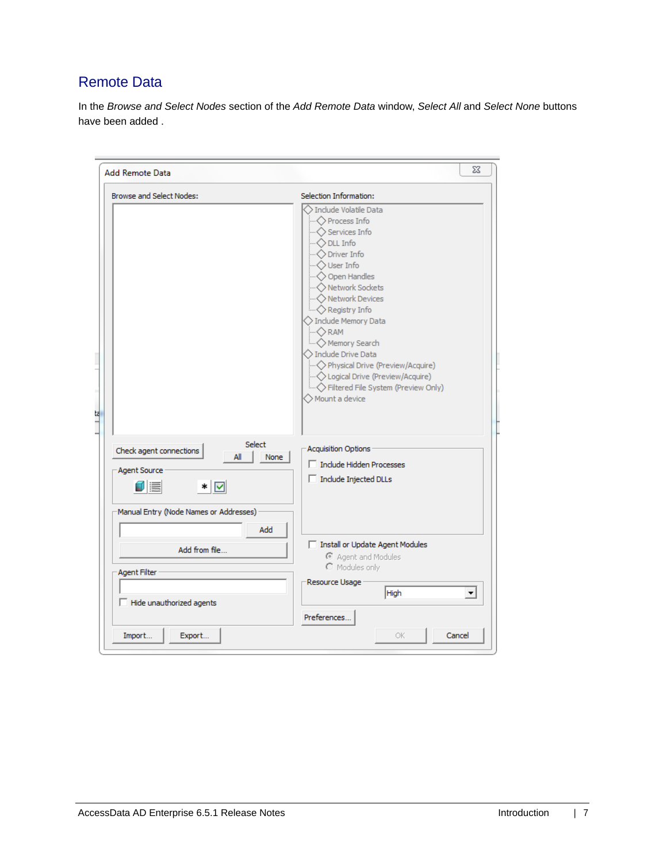### Remote Data

In the *Browse and Select Nodes* section of the *Add Remote Data* window, *Select All* and *Select None* buttons have been added .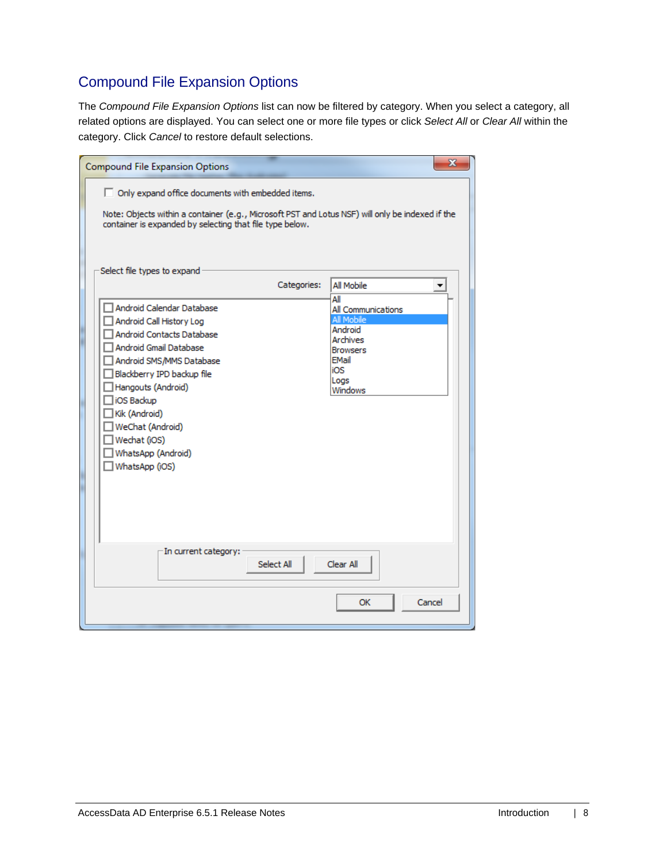## Compound File Expansion Options

The *Compound File Expansion Options* list can now be filtered by category. When you select a category, all related options are displayed. You can select one or more file types or click *Select All* or *Clear All* within the category. Click *Cancel* to restore default selections.

| <b>Compound File Expansion Options</b>                                                                                                                                                                                                                                                                         |             |                                                                                                                             | $\mathbf{x}$ |
|----------------------------------------------------------------------------------------------------------------------------------------------------------------------------------------------------------------------------------------------------------------------------------------------------------------|-------------|-----------------------------------------------------------------------------------------------------------------------------|--------------|
| $\Box$ Only expand office documents with embedded items.<br>Note: Objects within a container (e.g., Microsoft PST and Lotus NSF) will only be indexed if the<br>container is expanded by selecting that file type below.                                                                                       |             |                                                                                                                             |              |
| Select file types to expand                                                                                                                                                                                                                                                                                    | Categories: | All Mobile<br>Αll                                                                                                           | ▼            |
| Android Calendar Database<br>Android Call History Log<br><b>Android Contacts Database</b><br>Android Gmail Database<br>Android SMS/MMS Database<br>Blackberry IPD backup file<br>Hangouts (Android)<br>iOS Backup<br>Kik (Android)<br>WeChat (Android)<br>Wechat (iOS)<br>WhatsApp (Android)<br>WhatsApp (iOS) |             | All Communications<br>All Mobile<br>Android<br><b>Archives</b><br><b>Browsers</b><br><b>EMail</b><br>iOS<br>Logs<br>Windows |              |
| -In current category:                                                                                                                                                                                                                                                                                          | Select All  | Clear All                                                                                                                   |              |
|                                                                                                                                                                                                                                                                                                                |             | ОК<br>Cancel                                                                                                                |              |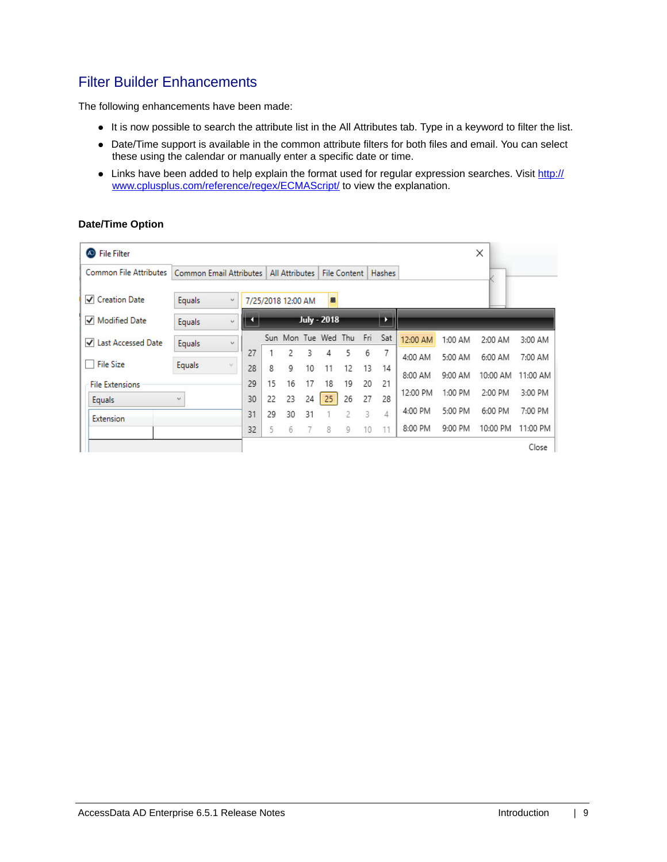### Filter Builder Enhancements

The following enhancements have been made:

- It is now possible to search the attribute list in the All Attributes tab. Type in a keyword to filter the list.
- Date/Time support is available in the common attribute filters for both files and email. You can select these using the calendar or manually enter a specific date or time.
- Links have been added to help explain the format used for regular expression searches. Visit http:// www.cplusplus.com/reference/regex/ECMAScript/ to view the explanation.

#### **Date/Time Option**

| <b>File Filter</b><br>$\omega$ |                                |                         |    |    |                       |     |                    |                     |     |        |          |         | ×        |          |
|--------------------------------|--------------------------------|-------------------------|----|----|-----------------------|-----|--------------------|---------------------|-----|--------|----------|---------|----------|----------|
| <b>Common File Attributes</b>  | <b>Common Email Attributes</b> |                         |    |    | <b>All Attributes</b> |     |                    | <b>File Content</b> |     | Hashes |          |         |          |          |
| <b>Creation Date</b><br>✓      | <b>Equals</b>                  | $\mathbf{v}_\mathrm{c}$ |    |    | 7/25/2018 12:00 AM    |     | 囲                  |                     |     |        |          |         |          |          |
| <b>Modified Date</b><br>✓      | Equals                         | $\omega$                | u  |    |                       |     | <b>July - 2018</b> |                     |     | ▸      |          |         |          |          |
| <b>Last Accessed Date</b><br>✓ | Equals                         | $\backsim$              |    |    | Sun Mon               | Tue | Wed                | Thu                 | Fri | Sat    | 12:00 AM | 1:00 AM | 2:00 AM  | 3:00 AM  |
|                                |                                |                         | 27 |    | 2                     | 3   | 4                  | 5                   | 6   | 7      | 4:00 AM  | 5:00 AM | 6:00 AM  | 7:00 AM  |
| <b>File Size</b>               | Equals                         | $\lambda\mu^{\prime}$   | 28 | 8  | 9                     | 10  | 11                 | 12                  | 13  | 14     | 8:00 AM  | 9:00 AM | 10:00 AM | 11:00 AM |
| <b>File Extensions</b>         |                                |                         | 29 | 15 | 16                    | 17  | 18                 | 19                  | 20  | 21     |          |         |          |          |
| Equals                         | $\overline{\phantom{a}}$       |                         | 30 | 22 | 23                    | 24  | 25                 | 26                  | 27  | 28     | 12:00 PM | 1:00 PM | 2:00 PM  | 3:00 PM  |
| Extension                      |                                |                         | 31 | 29 | 30                    | 31  |                    |                     | 3   | 4      | 4:00 PM  | 5:00 PM | 6:00 PM  | 7:00 PM  |
|                                |                                |                         | 32 | 5  | 6                     |     | 8                  | 9                   | 10  | 11     | 8:00 PM  | 9:00 PM | 10:00 PM | 11:00 PM |
|                                |                                |                         |    |    |                       |     |                    |                     |     |        |          |         |          | Close    |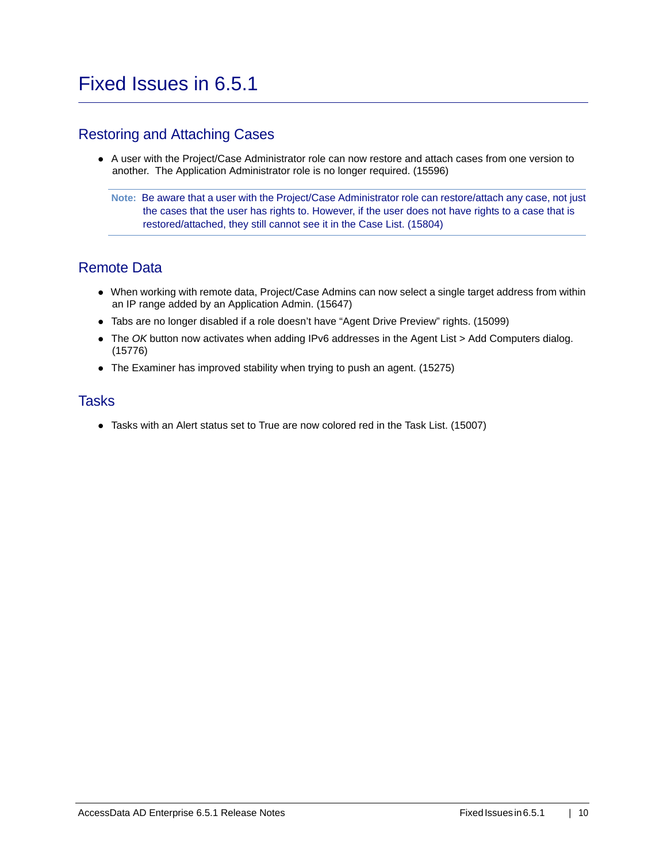## Fixed Issues in 6.5.1

#### Restoring and Attaching Cases

- A user with the Project/Case Administrator role can now restore and attach cases from one version to another. The Application Administrator role is no longer required. (15596)
	- **Note:** Be aware that a user with the Project/Case Administrator role can restore/attach any case, not just the cases that the user has rights to. However, if the user does not have rights to a case that is restored/attached, they still cannot see it in the Case List. (15804)

#### Remote Data

- When working with remote data, Project/Case Admins can now select a single target address from within an IP range added by an Application Admin. (15647)
- Tabs are no longer disabled if a role doesn't have "Agent Drive Preview" rights. (15099)
- The *OK* button now activates when adding IPv6 addresses in the Agent List > Add Computers dialog. (15776)
- The Examiner has improved stability when trying to push an agent. (15275)

#### **Tasks**

Tasks with an Alert status set to True are now colored red in the Task List. (15007)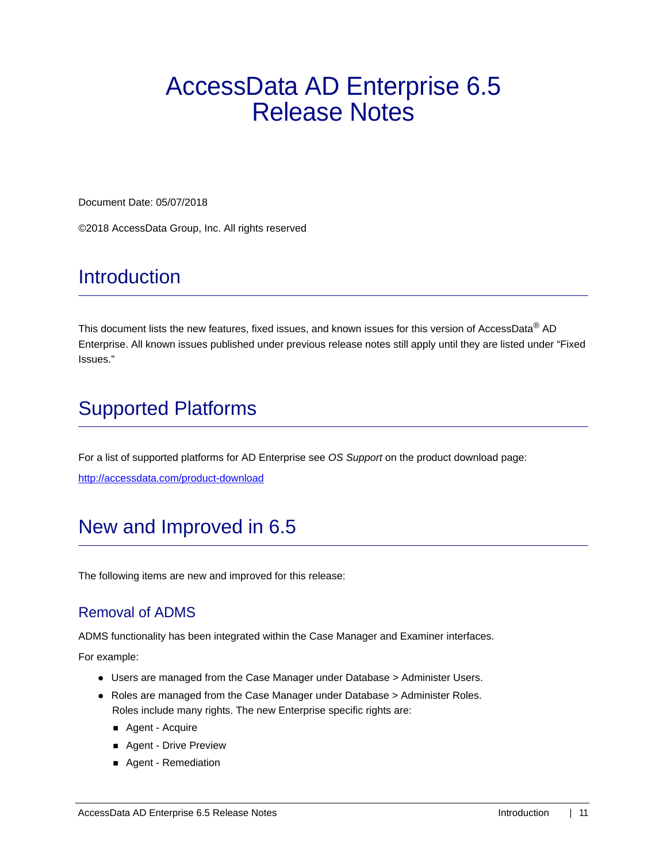# AccessData AD Enterprise 6.5 Release Notes

Document Date: 05/07/2018

©2018 AccessData Group, Inc. All rights reserved

## **Introduction**

This document lists the new features, fixed issues, and known issues for this version of AccessData® AD Enterprise. All known issues published under previous release notes still apply until they are listed under "Fixed Issues."

## Supported Platforms

For a list of supported platforms for AD Enterprise see *OS Support* on the product download page:

http://accessdata.com/product-download

## New and Improved in 6.5

The following items are new and improved for this release:

### Removal of ADMS

ADMS functionality has been integrated within the Case Manager and Examiner interfaces.

For example:

- Users are managed from the Case Manager under Database > Administer Users.
- Roles are managed from the Case Manager under Database > Administer Roles. Roles include many rights. The new Enterprise specific rights are:
	- Agent Acquire
	- **Agent Drive Preview**
	- Agent Remediation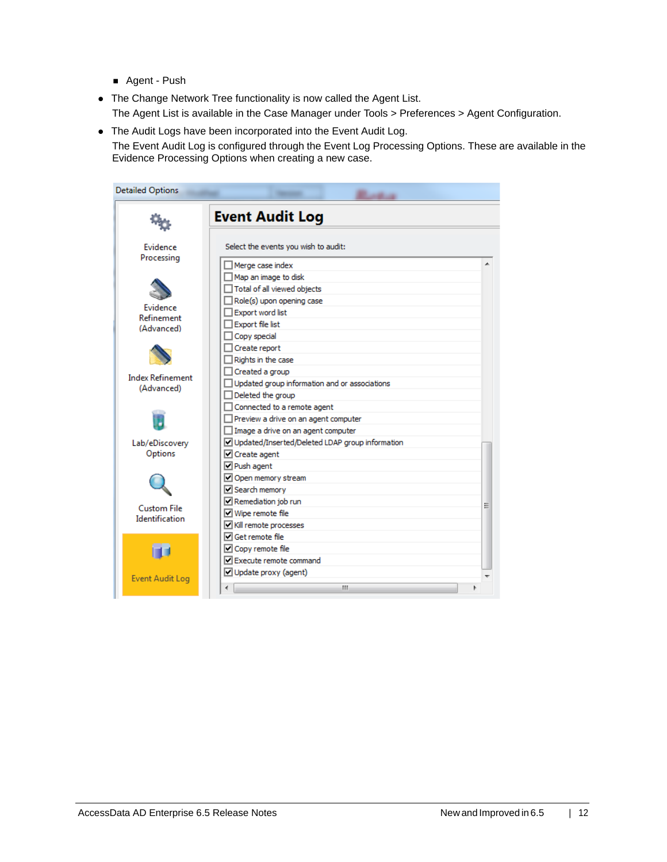- Agent Push
- The Change Network Tree functionality is now called the Agent List. The Agent List is available in the Case Manager under Tools > Preferences > Agent Configuration.
- The Audit Logs have been incorporated into the Event Audit Log.

The Event Audit Log is configured through the Event Log Processing Options. These are available in the Evidence Processing Options when creating a new case.

| <b>Detailed Options</b> |                                                 |   |
|-------------------------|-------------------------------------------------|---|
|                         | <b>Event Audit Log</b>                          |   |
| Evidence<br>Processing  | Select the events you wish to audit:            |   |
|                         | Merge case index                                |   |
|                         | Map an image to disk                            |   |
|                         | Total of all viewed objects                     |   |
|                         | Role(s) upon opening case                       |   |
| Evidence<br>Refinement  | Export word list                                |   |
| (Advanced)              | Export file list                                |   |
|                         | Copy special                                    |   |
|                         | Create report                                   |   |
|                         | Rights in the case                              |   |
| <b>Index Refinement</b> | $\Box$ Created a group                          |   |
| (Advanced)              | Updated group information and or associations   |   |
|                         | $\Box$ Deleted the group                        |   |
|                         | Connected to a remote agent                     |   |
|                         | Preview a drive on an agent computer            |   |
|                         | Image a drive on an agent computer              |   |
| Lab/eDiscovery          | Updated/Inserted/Deleted LDAP group information |   |
| Options                 | Create agent                                    |   |
|                         | □ Push agent                                    |   |
|                         | Open memory stream                              |   |
|                         | Search memory                                   |   |
| <b>Custom File</b>      | Remediation job run                             | Ξ |
| <b>Identification</b>   | $\nabla$ Wipe remote file                       |   |
|                         | Kill remote processes                           |   |
|                         | □ Get remote file                               |   |
|                         | $\Box$ Copy remote file                         |   |
|                         | □ Execute remote command                        |   |
| <b>Event Audit Log</b>  | Update proxy (agent)                            |   |
|                         | ш                                               | Þ |
|                         |                                                 |   |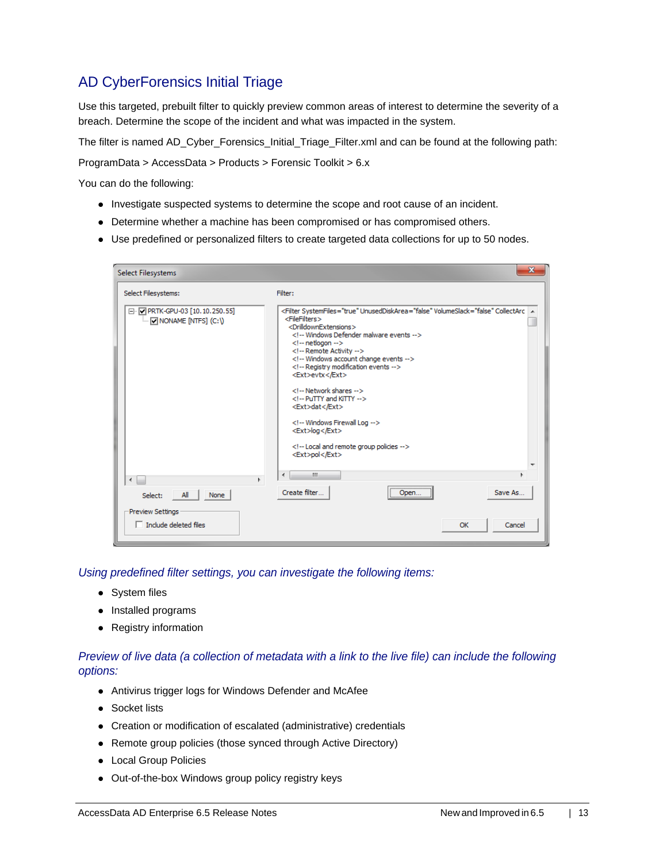### AD CyberForensics Initial Triage

Use this targeted, prebuilt filter to quickly preview common areas of interest to determine the severity of a breach. Determine the scope of the incident and what was impacted in the system.

The filter is named AD\_Cyber\_Forensics\_Initial\_Triage\_Filter.xml and can be found at the following path:

ProgramData > AccessData > Products > Forensic Toolkit > 6.x

You can do the following:

- Investigate suspected systems to determine the scope and root cause of an incident.
- Determine whether a machine has been compromised or has compromised others.
- Use predefined or personalized filters to create targeted data collections for up to 50 nodes.

| Select Filesystems                                        | х                                                                                                                                                                                                                                                                                                                                                                                                                                                                                                                                                                                                                |
|-----------------------------------------------------------|------------------------------------------------------------------------------------------------------------------------------------------------------------------------------------------------------------------------------------------------------------------------------------------------------------------------------------------------------------------------------------------------------------------------------------------------------------------------------------------------------------------------------------------------------------------------------------------------------------------|
| Select Filesystems:                                       | Filter:                                                                                                                                                                                                                                                                                                                                                                                                                                                                                                                                                                                                          |
| □ V PRTK-GPU-03 [10.10.250.55]<br>E V NONAME [NTFS] (C:\) | <filter collectarc<br="" systemfiles="true" unuseddiskarea="false" volumeslack="false"><filefilters><br/><drilldownextensions><br/><!-- Windows Defender malware events --><br/><math>\leq</math>! -- netlogon -- &gt;<br/><!-- Remote Activity --><br/><!-- Windows account change events --><br/><!-- Registry modification events --><br/><ext>evtx</ext><br/>&lt;1-- Network shares --&gt;<br/><!-- PuTTY and KiTTY --><br/><ext>dat</ext><br/><!-- Windows Firewall Log --><br/><ext>log</ext><br/><!-- Local and remote group policies --><br/><ext>pol</ext></drilldownextensions></filefilters></filter> |
|                                                           |                                                                                                                                                                                                                                                                                                                                                                                                                                                                                                                                                                                                                  |
| k<br>∢                                                    | m.<br>∢                                                                                                                                                                                                                                                                                                                                                                                                                                                                                                                                                                                                          |
| All<br>None<br>Select:                                    | <br>Create filter<br>Save As<br>Open                                                                                                                                                                                                                                                                                                                                                                                                                                                                                                                                                                             |
| Preview Settings<br>$\Box$ Include deleted files          | OK<br>Cancel                                                                                                                                                                                                                                                                                                                                                                                                                                                                                                                                                                                                     |

*Using predefined filter settings, you can investigate the following items:*

- System files
- Installed programs
- Registry information

#### *Preview of live data (a collection of metadata with a link to the live file) can include the following options:*

- Antivirus trigger logs for Windows Defender and McAfee
- Socket lists
- Creation or modification of escalated (administrative) credentials
- Remote group policies (those synced through Active Directory)
- Local Group Policies
- Out-of-the-box Windows group policy registry keys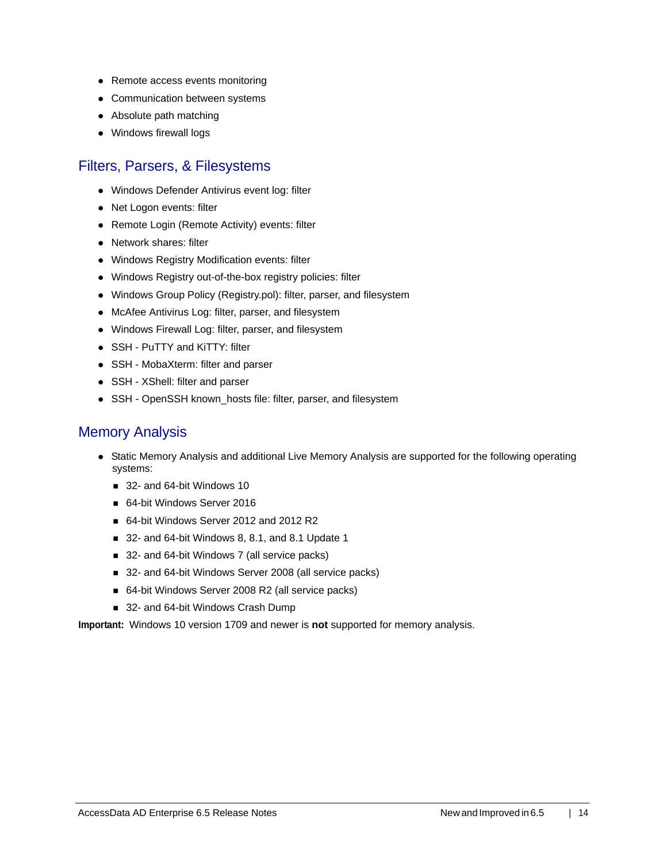- Remote access events monitoring
- Communication between systems
- Absolute path matching
- Windows firewall logs

### Filters, Parsers, & Filesystems

- Windows Defender Antivirus event log: filter
- Net Logon events: filter
- Remote Login (Remote Activity) events: filter
- Network shares: filter
- Windows Registry Modification events: filter
- Windows Registry out-of-the-box registry policies: filter
- Windows Group Policy (Registry.pol): filter, parser, and filesystem
- McAfee Antivirus Log: filter, parser, and filesystem
- Windows Firewall Log: filter, parser, and filesystem
- SSH PuTTY and KiTTY: filter
- SSH MobaXterm: filter and parser
- SSH XShell: filter and parser
- SSH OpenSSH known\_hosts file: filter, parser, and filesystem

#### Memory Analysis

- Static Memory Analysis and additional Live Memory Analysis are supported for the following operating systems:
	- 32- and 64-bit Windows 10
	- 64-bit Windows Server 2016
	- 64-bit Windows Server 2012 and 2012 R2
	- 32- and 64-bit Windows 8, 8.1, and 8.1 Update 1
	- 32- and 64-bit Windows 7 (all service packs)
	- 32- and 64-bit Windows Server 2008 (all service packs)
	- 64-bit Windows Server 2008 R2 (all service packs)
	- 32- and 64-bit Windows Crash Dump

**Important:** Windows 10 version 1709 and newer is **not** supported for memory analysis.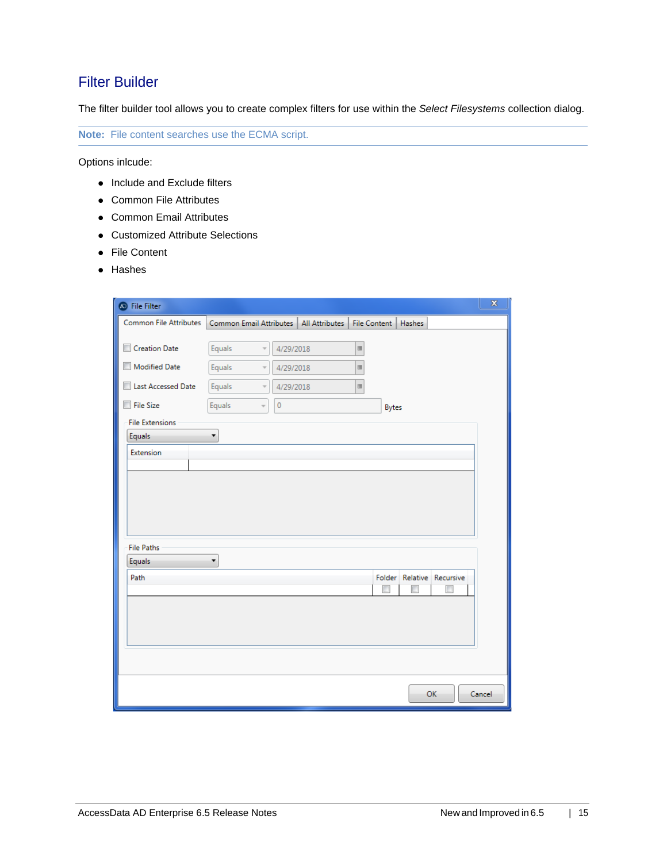### Filter Builder

The filter builder tool allows you to create complex filters for use within the *Select Filesystems* collection dialog.

**Note:** File content searches use the ECMA script.

Options inlcude:

- Include and Exclude filters
- Common File Attributes
- Common Email Attributes
- Customized Attribute Selections
- File Content
- Hashes

| File Filter                         |                                          |           |                |              |        |                           | $\mathbf{x}$ |
|-------------------------------------|------------------------------------------|-----------|----------------|--------------|--------|---------------------------|--------------|
| Common File Attributes              | Common Email Attributes   All Attributes |           |                | File Content | Hashes |                           |              |
| Creation Date                       | Equals<br>$\overline{\phantom{a}}$       | 4/29/2018 | $\blacksquare$ |              |        |                           |              |
| Modified Date                       | Equals<br>$\overline{\phantom{a}}$       | 4/29/2018 | $\blacksquare$ |              |        |                           |              |
| <b>Last Accessed Date</b><br>$\Box$ | Equals<br>$\overline{\phantom{a}}$       | 4/29/2018 | $\boxplus$     |              |        |                           |              |
| <b>File Size</b>                    | Equals<br>$\overline{\phantom{a}}$       | $\pmb{0}$ |                | <b>Bytes</b> |        |                           |              |
| <b>File Extensions</b>              |                                          |           |                |              |        |                           |              |
| Equals<br>Extension                 | $\overline{\phantom{a}}$                 |           |                |              |        |                           |              |
|                                     |                                          |           |                |              |        |                           |              |
|                                     |                                          |           |                |              |        |                           |              |
|                                     |                                          |           |                |              |        |                           |              |
|                                     |                                          |           |                |              |        |                           |              |
| <b>File Paths</b>                   |                                          |           |                |              |        |                           |              |
| Equals                              | ۰.                                       |           |                |              |        |                           |              |
| Path                                |                                          |           |                |              |        | Folder Relative Recursive |              |
|                                     |                                          |           |                |              |        |                           |              |
|                                     |                                          |           |                |              |        |                           |              |
|                                     |                                          |           |                |              |        |                           |              |
|                                     |                                          |           |                |              |        |                           |              |
|                                     |                                          |           |                |              |        |                           |              |
|                                     |                                          |           |                |              |        | OK                        | Cancel       |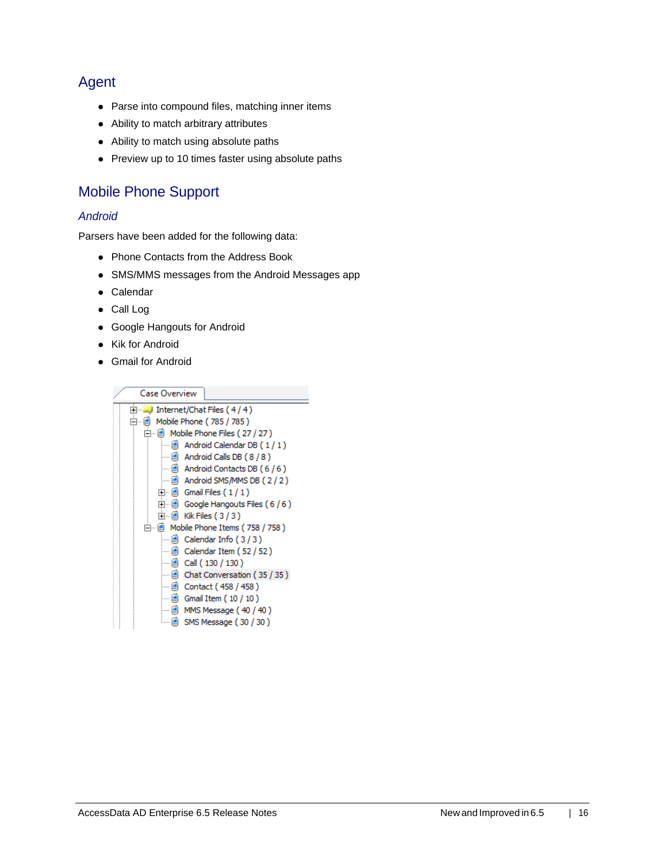### Agent

- Parse into compound files, matching inner items
- Ability to match arbitrary attributes
- Ability to match using absolute paths
- Preview up to 10 times faster using absolute paths

### Mobile Phone Support

#### *Android*

Parsers have been added for the following data:

- Phone Contacts from the Address Book
- SMS/MMS messages from the Android Messages app
- Calendar
- Call Log
- Google Hangouts for Android
- Kik for Android
- **Gmail for Android**

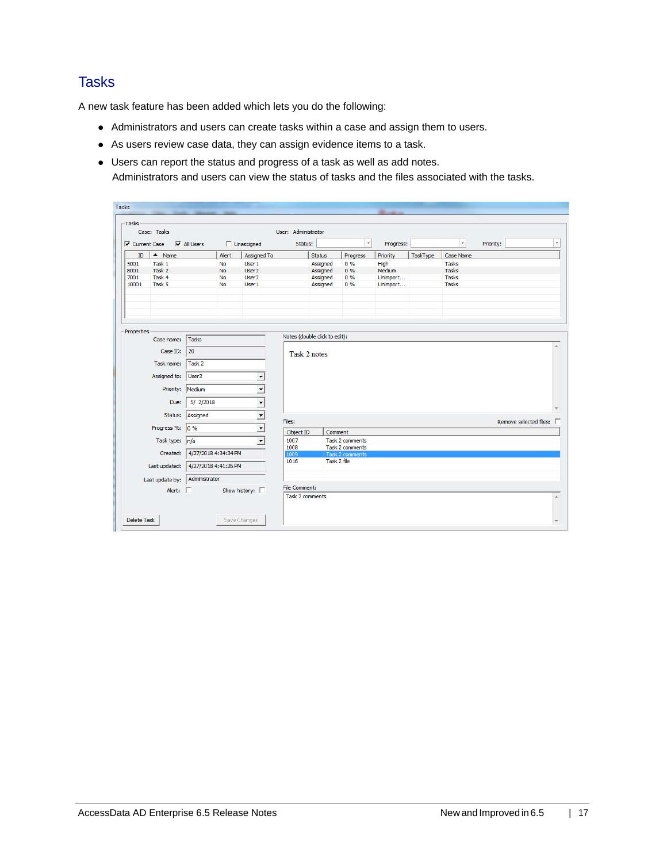### **Tasks**

A new task feature has been added which lets you do the following:

- Administrators and users can create tasks within a case and assign them to users.
- As users review case data, they can assign evidence items to a task.
- Users can report the status and progress of a task as well as add notes. Administrators and users can view the status of tasks and the files associated with the tasks.

| Tasks                                | Case: Tasks                     |                                   |           |                          | User: Administrator              |                               |                                    |           |          |              |           |                          |
|--------------------------------------|---------------------------------|-----------------------------------|-----------|--------------------------|----------------------------------|-------------------------------|------------------------------------|-----------|----------|--------------|-----------|--------------------------|
| $\overline{\mathsf{v}}$ Current Case |                                 | $\overline{\mathsf{v}}$ All Users |           | $\Gamma$ Unassigned      | Status:                          |                               | $\overline{\phantom{a}}$           | Progress: |          | $\bar{\tau}$ | Priority: |                          |
| ID                                   | $\triangle$ Name                |                                   | Alert     | Assigned To              |                                  | Status                        | Progress                           | Priority  | TaskType | Case Name    |           |                          |
| 5001                                 | Task <sub>1</sub>               |                                   | No        | User 1                   |                                  | Assigned                      | 0%                                 | High      |          | Tasks        |           |                          |
| 8001                                 | Task 2                          |                                   | No        | User <sub>2</sub>        |                                  | Assigned                      | 0%                                 | Medium    |          | Tasks        |           |                          |
| 7001                                 | Task 4                          |                                   | No        | User <sub>2</sub>        |                                  | Assigned                      | 0%                                 | Unimport  |          | Tasks        |           |                          |
| 10001                                | Task 5                          |                                   | <b>No</b> | User <sub>1</sub>        |                                  | Assigned                      | 0%                                 | Unimport  |          | Tasks        |           |                          |
|                                      |                                 |                                   |           |                          |                                  |                               |                                    |           |          |              |           |                          |
|                                      |                                 |                                   |           |                          |                                  |                               |                                    |           |          |              |           |                          |
| Properties                           | Case name:                      | Tasks                             |           |                          |                                  | Notes (double click to edit): |                                    |           |          |              |           |                          |
|                                      | Case ID:                        | 20                                |           |                          | Task 2 notes                     |                               |                                    |           |          |              |           |                          |
|                                      |                                 | Task 2                            |           |                          |                                  |                               |                                    |           |          |              |           |                          |
|                                      | Task name:                      |                                   |           |                          |                                  |                               |                                    |           |          |              |           |                          |
|                                      | Assigned to:                    | User <sub>2</sub>                 |           | $\overline{\phantom{a}}$ |                                  |                               |                                    |           |          |              |           |                          |
|                                      |                                 | Priority: Medium                  |           | $\overline{\cdot}$       |                                  |                               |                                    |           |          |              |           |                          |
|                                      | Due:                            | 5/2/2018                          |           |                          |                                  |                               |                                    |           |          |              |           |                          |
|                                      | Status:                         | Assigned                          |           | $\frac{1}{1}$            |                                  |                               |                                    |           |          |              |           |                          |
|                                      | Progress %: 0 %                 |                                   |           | $\overline{\cdot}$       | Files:<br>Object ID              | Comment                       |                                    |           |          |              |           | Remove selected files: [ |
|                                      | Task type: n/a                  |                                   |           | $\overline{\phantom{0}}$ | 1007                             |                               | Task 2 comments                    |           |          |              |           |                          |
|                                      | Created:                        | 4/27/2018 4:34:34 PM              |           |                          | 1008<br>1009                     |                               | Task 2 comments<br>Task 2 comments |           |          |              |           |                          |
|                                      | Last updated:                   | 4/27/2018 4:41:26 PM              |           |                          | 1016                             | Task 2 file                   |                                    |           |          |              |           |                          |
|                                      | Last update by:   Administrator |                                   |           |                          |                                  |                               |                                    |           |          |              |           |                          |
|                                      | Alert: $\Box$                   |                                   |           | Show history: $\square$  | File Comment:<br>Task 2 comments |                               |                                    |           |          |              |           |                          |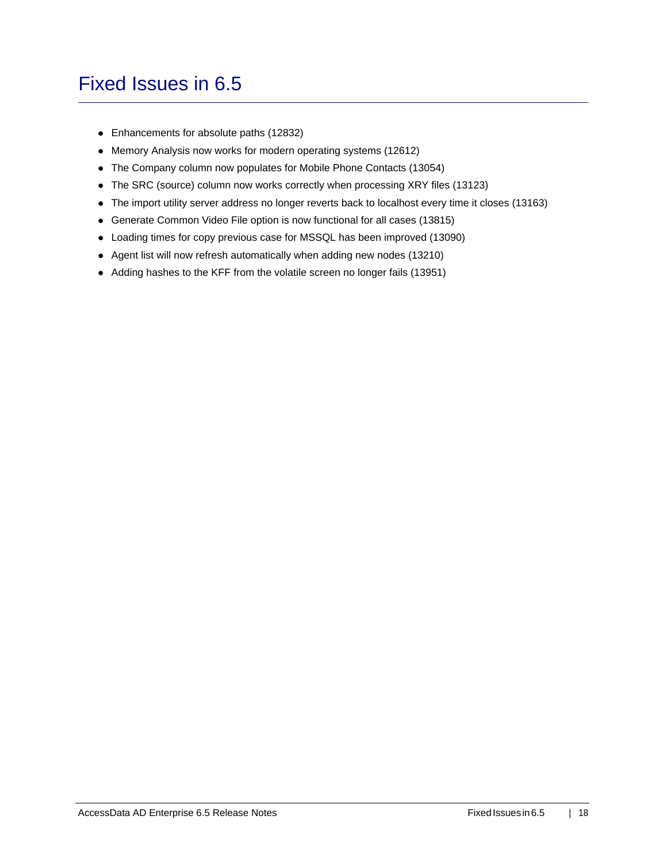## Fixed Issues in 6.5

- Enhancements for absolute paths (12832)
- Memory Analysis now works for modern operating systems (12612)
- The Company column now populates for Mobile Phone Contacts (13054)
- The SRC (source) column now works correctly when processing XRY files (13123)
- The import utility server address no longer reverts back to localhost every time it closes (13163)
- Generate Common Video File option is now functional for all cases (13815)
- Loading times for copy previous case for MSSQL has been improved (13090)
- Agent list will now refresh automatically when adding new nodes (13210)
- Adding hashes to the KFF from the volatile screen no longer fails (13951)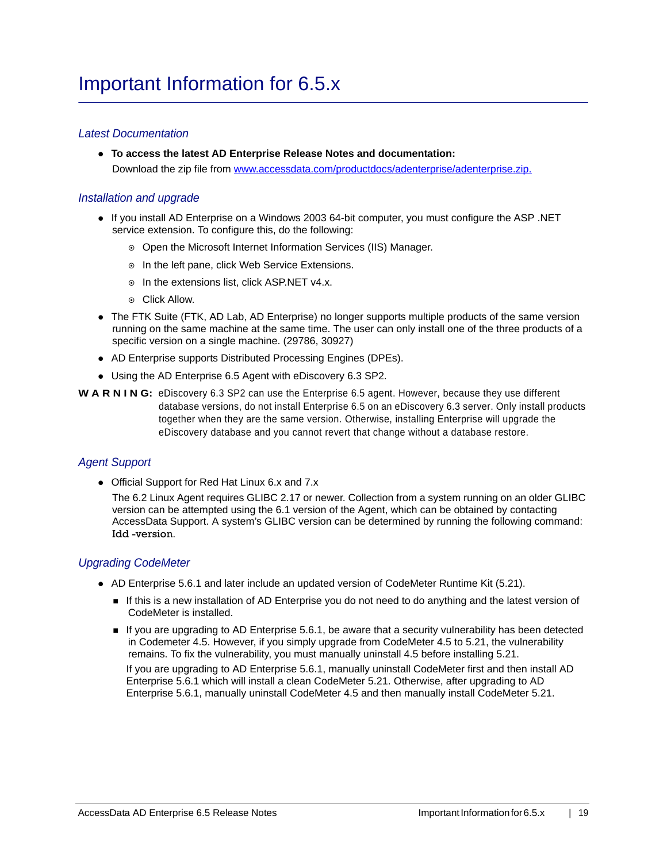#### *Latest Documentation*

**To access the latest AD Enterprise Release Notes and documentation:** Download the zip file from www.accessdata.com/productdocs/adenterprise/adenterprise.zip.

#### *Installation and upgrade*

- If you install AD Enterprise on a Windows 2003 64-bit computer, you must configure the ASP. NET service extension. To configure this, do the following:
	- Open the Microsoft Internet Information Services (IIS) Manager.
	- o In the left pane, click Web Service Extensions.
	- $\circ$  In the extensions list, click ASP.NET v4.x.
	- ⊙ Click Allow.
- The FTK Suite (FTK, AD Lab, AD Enterprise) no longer supports multiple products of the same version running on the same machine at the same time. The user can only install one of the three products of a specific version on a single machine. (29786, 30927)
- AD Enterprise supports Distributed Processing Engines (DPEs).
- Using the AD Enterprise 6.5 Agent with eDiscovery 6.3 SP2.

**W A R N I N G:** eDiscovery 6.3 SP2 can use the Enterprise 6.5 agent. However, because they use different database versions, do not install Enterprise 6.5 on an eDiscovery 6.3 server. Only install products together when they are the same version. Otherwise, installing Enterprise will upgrade the eDiscovery database and you cannot revert that change without a database restore.

#### *Agent Support*

Official Support for Red Hat Linux 6.x and 7.x

The 6.2 Linux Agent requires GLIBC 2.17 or newer. Collection from a system running on an older GLIBC version can be attempted using the 6.1 version of the Agent, which can be obtained by contacting AccessData Support. A system's GLIBC version can be determined by running the following command: Idd -version.

#### *Upgrading CodeMeter*

- AD Enterprise 5.6.1 and later include an updated version of CodeMeter Runtime Kit (5.21).
	- If this is a new installation of AD Enterprise you do not need to do anything and the latest version of CodeMeter is installed.
	- If you are upgrading to AD Enterprise 5.6.1, be aware that a security vulnerability has been detected in Codemeter 4.5. However, if you simply upgrade from CodeMeter 4.5 to 5.21, the vulnerability remains. To fix the vulnerability, you must manually uninstall 4.5 before installing 5.21.

If you are upgrading to AD Enterprise 5.6.1, manually uninstall CodeMeter first and then install AD Enterprise 5.6.1 which will install a clean CodeMeter 5.21. Otherwise, after upgrading to AD Enterprise 5.6.1, manually uninstall CodeMeter 4.5 and then manually install CodeMeter 5.21.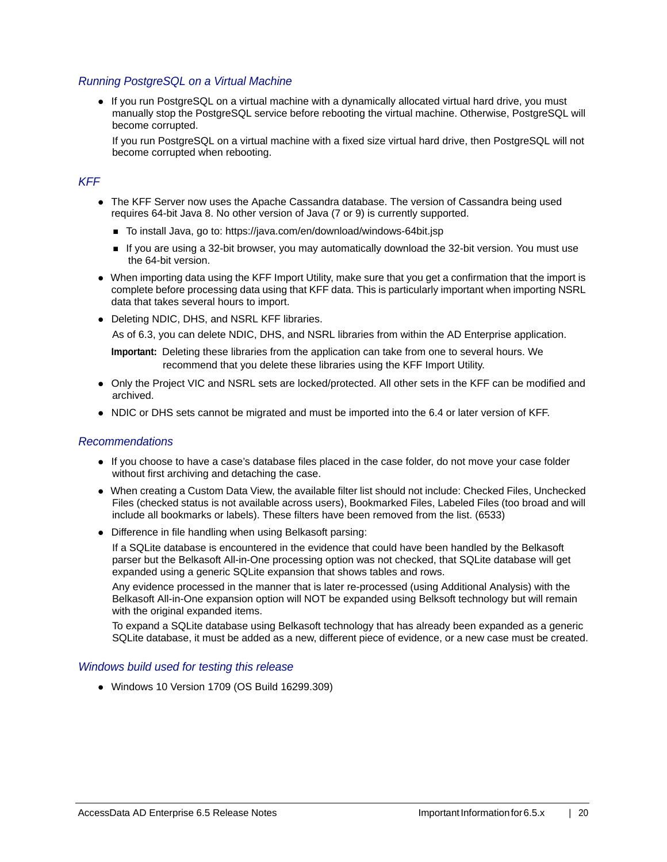#### *Running PostgreSQL on a Virtual Machine*

• If you run PostgreSQL on a virtual machine with a dynamically allocated virtual hard drive, you must manually stop the PostgreSQL service before rebooting the virtual machine. Otherwise, PostgreSQL will become corrupted.

If you run PostgreSQL on a virtual machine with a fixed size virtual hard drive, then PostgreSQL will not become corrupted when rebooting.

#### *KFF*

- The KFF Server now uses the Apache Cassandra database. The version of Cassandra being used requires 64-bit Java 8. No other version of Java (7 or 9) is currently supported.
	- To install Java, go to: https://java.com/en/download/windows-64bit.jsp
	- If you are using a 32-bit browser, you may automatically download the 32-bit version. You must use the 64-bit version.
- When importing data using the KFF Import Utility, make sure that you get a confirmation that the import is complete before processing data using that KFF data. This is particularly important when importing NSRL data that takes several hours to import.
- Deleting NDIC, DHS, and NSRL KFF libraries.

As of 6.3, you can delete NDIC, DHS, and NSRL libraries from within the AD Enterprise application.

**Important:** Deleting these libraries from the application can take from one to several hours. We recommend that you delete these libraries using the KFF Import Utility.

- Only the Project VIC and NSRL sets are locked/protected. All other sets in the KFF can be modified and archived.
- NDIC or DHS sets cannot be migrated and must be imported into the 6.4 or later version of KFF.

#### *Recommendations*

- If you choose to have a case's database files placed in the case folder, do not move your case folder without first archiving and detaching the case.
- When creating a Custom Data View, the available filter list should not include: Checked Files, Unchecked Files (checked status is not available across users), Bookmarked Files, Labeled Files (too broad and will include all bookmarks or labels). These filters have been removed from the list. (6533)
- Difference in file handling when using Belkasoft parsing:

If a SQLite database is encountered in the evidence that could have been handled by the Belkasoft parser but the Belkasoft All-in-One processing option was not checked, that SQLite database will get expanded using a generic SQLite expansion that shows tables and rows.

Any evidence processed in the manner that is later re-processed (using Additional Analysis) with the Belkasoft All-in-One expansion option will NOT be expanded using Belksoft technology but will remain with the original expanded items.

To expand a SQLite database using Belkasoft technology that has already been expanded as a generic SQLite database, it must be added as a new, different piece of evidence, or a new case must be created.

#### *Windows build used for testing this release*

Windows 10 Version 1709 (OS Build 16299.309)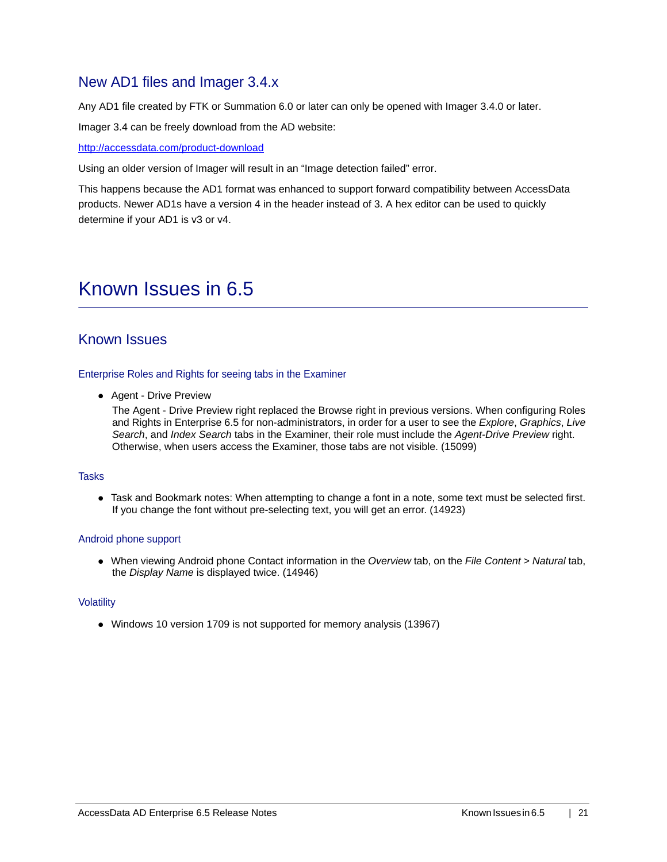### New AD1 files and Imager 3.4.x

Any AD1 file created by FTK or Summation 6.0 or later can only be opened with Imager 3.4.0 or later.

Imager 3.4 can be freely download from the AD website:

http://accessdata.com/product-download

Using an older version of Imager will result in an "Image detection failed" error.

This happens because the AD1 format was enhanced to support forward compatibility between AccessData products. Newer AD1s have a version 4 in the header instead of 3. A hex editor can be used to quickly determine if your AD1 is v3 or v4.

## Known Issues in 6.5

#### Known Issues

#### Enterprise Roles and Rights for seeing tabs in the Examiner

Agent - Drive Preview

The Agent - Drive Preview right replaced the Browse right in previous versions. When configuring Roles and Rights in Enterprise 6.5 for non-administrators, in order for a user to see the *Explore*, *Graphics*, *Live Search*, and *Index Search* tabs in the Examiner, their role must include the *Agent-Drive Preview* right. Otherwise, when users access the Examiner, those tabs are not visible. (15099)

#### Tasks

Task and Bookmark notes: When attempting to change a font in a note, some text must be selected first. If you change the font without pre-selecting text, you will get an error. (14923)

#### Android phone support

When viewing Android phone Contact information in the *Overview* tab, on the *File Content* > *Natural* tab, the *Display Name* is displayed twice. (14946)

#### **Volatility**

Windows 10 version 1709 is not supported for memory analysis (13967)